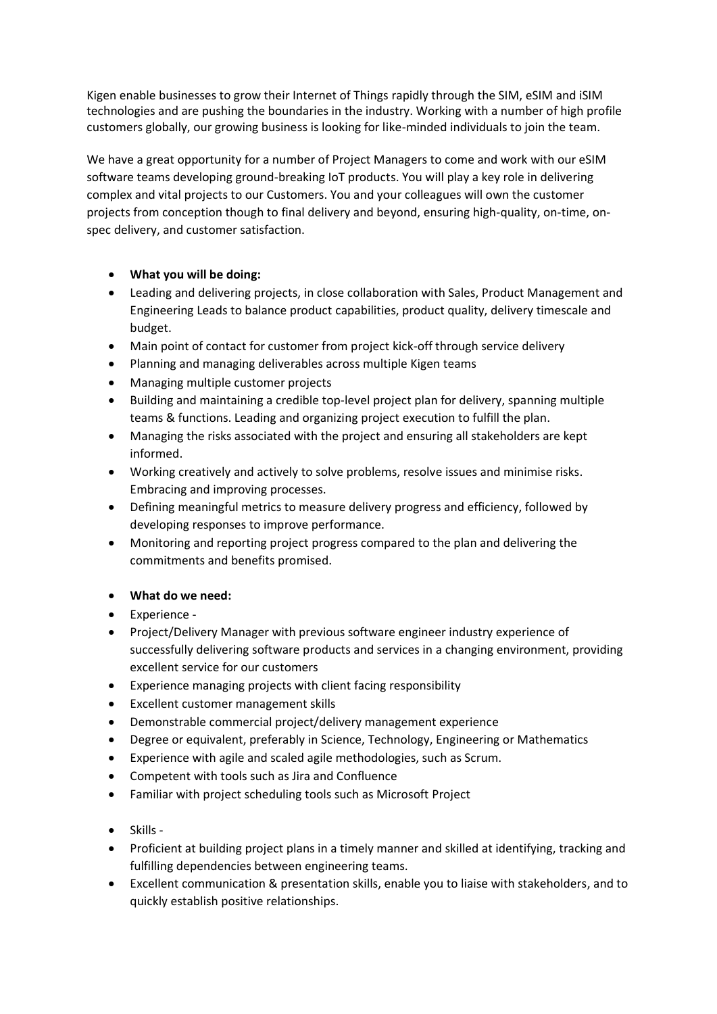Kigen enable businesses to grow their Internet of Things rapidly through the SIM, eSIM and iSIM technologies and are pushing the boundaries in the industry. Working with a number of high profile customers globally, our growing business is looking for like-minded individuals to join the team.

We have a great opportunity for a number of Project Managers to come and work with our eSIM software teams developing ground-breaking IoT products. You will play a key role in delivering complex and vital projects to our Customers. You and your colleagues will own the customer projects from conception though to final delivery and beyond, ensuring high-quality, on-time, onspec delivery, and customer satisfaction.

- **What you will be doing:**
- Leading and delivering projects, in close collaboration with Sales, Product Management and Engineering Leads to balance product capabilities, product quality, delivery timescale and budget.
- Main point of contact for customer from project kick-off through service delivery
- Planning and managing deliverables across multiple Kigen teams
- Managing multiple customer projects
- Building and maintaining a credible top-level project plan for delivery, spanning multiple teams & functions. Leading and organizing project execution to fulfill the plan.
- Managing the risks associated with the project and ensuring all stakeholders are kept informed.
- Working creatively and actively to solve problems, resolve issues and minimise risks. Embracing and improving processes.
- Defining meaningful metrics to measure delivery progress and efficiency, followed by developing responses to improve performance.
- Monitoring and reporting project progress compared to the plan and delivering the commitments and benefits promised.

## • **What do we need:**

- Experience -
- Project/Delivery Manager with previous software engineer industry experience of successfully delivering software products and services in a changing environment, providing excellent service for our customers
- Experience managing projects with client facing responsibility
- Excellent customer management skills
- Demonstrable commercial project/delivery management experience
- Degree or equivalent, preferably in Science, Technology, Engineering or Mathematics
- Experience with agile and scaled agile methodologies, such as Scrum.
- Competent with tools such as Jira and Confluence
- Familiar with project scheduling tools such as Microsoft Project
- Skills -
- Proficient at building project plans in a timely manner and skilled at identifying, tracking and fulfilling dependencies between engineering teams.
- Excellent communication & presentation skills, enable you to liaise with stakeholders, and to quickly establish positive relationships.